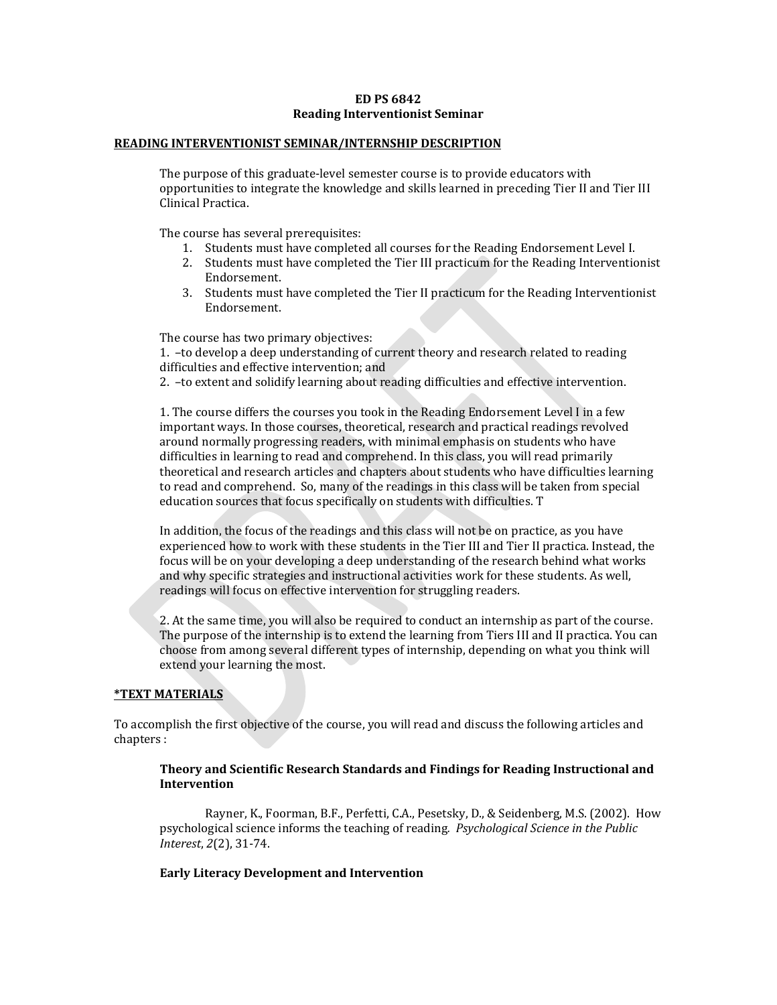### **ED PS 6842 Reading Interventionist Seminar**

#### **READING INTERVENTIONIST SEMINAR/INTERNSHIP DESCRIPTION**

The purpose of this graduate-level semester course is to provide educators with opportunities to integrate the knowledge and skills learned in preceding Tier II and Tier III Clinical Practica.

The course has several prerequisites:

- 1. Students must have completed all courses for the Reading Endorsement Level I.
- 2. Students must have completed the Tier III practicum for the Reading Interventionist Endorsement.
- 3. Students must have completed the Tier II practicum for the Reading Interventionist Endorsement.

The course has two primary objectives:

1. –to develop a deep understanding of current theory and research related to reading difficulties and effective intervention; and

2. –to extent and solidify learning about reading difficulties and effective intervention.

1. The course differs the courses you took in the Reading Endorsement Level I in a few important ways. In those courses, theoretical, research and practical readings revolved around normally progressing readers, with minimal emphasis on students who have difficulties in learning to read and comprehend. In this class, you will read primarily theoretical and research articles and chapters about students who have difficulties learning to read and comprehend. So, many of the readings in this class will be taken from special education sources that focus specifically on students with difficulties. T

In addition, the focus of the readings and this class will not be on practice, as you have experienced how to work with these students in the Tier III and Tier II practica. Instead, the focus will be on your developing a deep understanding of the research behind what works and why specific strategies and instructional activities work for these students. As well, readings will focus on effective intervention for struggling readers.

2. At the same time, you will also be required to conduct an internship as part of the course. The purpose of the internship is to extend the learning from Tiers III and II practica. You can choose from among several different types of internship, depending on what you think will extend your learning the most.

### **\*TEXT MATERIALS**

To accomplish the first objective of the course, you will read and discuss the following articles and chapters :

### **Theory and Scientific Research Standards and Findings for Reading Instructional and Intervention**

Rayner, K., Foorman, B.F., Perfetti, C.A., Pesetsky, D., & Seidenberg, M.S. (2002). How psychological science informs the teaching of reading*. Psychological Science in the Public Interest*, *2*(2), 31-74.

### **Early Literacy Development and Intervention**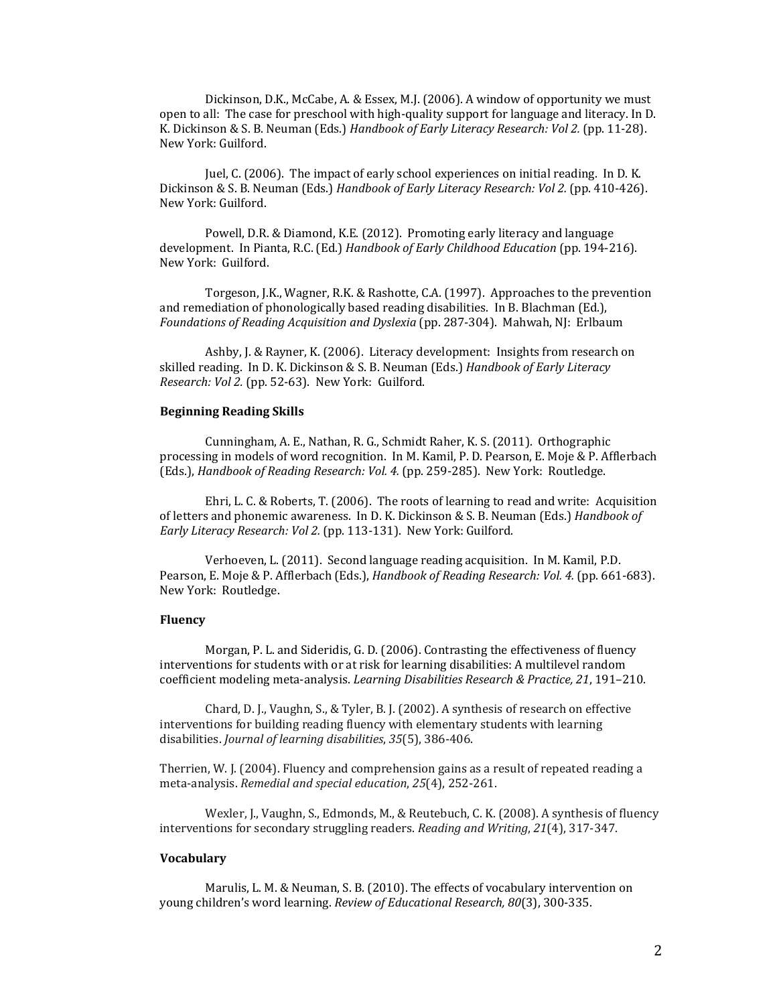Dickinson, D.K., McCabe, A. & Essex, M.J. (2006). A window of opportunity we must open to all: The case for preschool with high-quality support for language and literacy. In D. K. Dickinson & S. B. Neuman (Eds.) *Handbook of Early Literacy Research: Vol 2.* (pp. 11-28). New York: Guilford.

Juel, C. (2006). The impact of early school experiences on initial reading. In D. K. Dickinson & S. B. Neuman (Eds.) *Handbook of Early Literacy Research: Vol 2.* (pp. 410-426). New York: Guilford.

Powell, D.R. & Diamond, K.E. (2012). Promoting early literacy and language development. In Pianta, R.C. (Ed.) *Handbook of Early Childhood Education* (pp. 194-216). New York: Guilford.

Torgeson, J.K., Wagner, R.K. & Rashotte, C.A. (1997). Approaches to the prevention and remediation of phonologically based reading disabilities. In B. Blachman (Ed.), *Foundations of Reading Acquisition and Dyslexia* (pp. 287-304). Mahwah, NJ: Erlbaum

Ashby, J. & Rayner, K. (2006). Literacy development: Insights from research on skilled reading. In D. K. Dickinson & S. B. Neuman (Eds.) *Handbook of Early Literacy Research: Vol 2.* (pp. 52-63). New York: Guilford.

### **Beginning Reading Skills**

Cunningham, A. E., Nathan, R. G., Schmidt Raher, K. S. (2011). Orthographic processing in models of word recognition. In M. Kamil, P. D. Pearson, E. Moje & P. Afflerbach (Eds.), *Handbook of Reading Research: Vol. 4.* (pp. 259-285). New York: Routledge.

Ehri, L. C. & Roberts, T. (2006). The roots of learning to read and write: Acquisition of letters and phonemic awareness. In D. K. Dickinson & S. B. Neuman (Eds.) *Handbook of Early Literacy Research: Vol 2.* (pp. 113-131). New York: Guilford.

Verhoeven, L. (2011). Second language reading acquisition. In M. Kamil, P.D. Pearson, E. Moje & P. Afflerbach (Eds.), *Handbook of Reading Research: Vol. 4.* (pp. 661-683). New York: Routledge.

### **Fluency**

Morgan, P. L. and Sideridis, G. D. (2006). Contrasting the effectiveness of fluency interventions for students with or at risk for learning disabilities: A multilevel random coefficient modeling meta-analysis. *Learning Disabilities Research & Practice, 21*, 191–210.

Chard, D. J., Vaughn, S., & Tyler, B. J. (2002). A synthesis of research on effective interventions for building reading fluency with elementary students with learning disabilities. *Journal of learning disabilities*, *35*(5), 386-406.

Therrien, W. J. (2004). Fluency and comprehension gains as a result of repeated reading a meta-analysis. *Remedial and special education*, *25*(4), 252-261.

Wexler, J., Vaughn, S., Edmonds, M., & Reutebuch, C. K. (2008). A synthesis of fluency interventions for secondary struggling readers. *Reading and Writing*, *21*(4), 317-347.

### **Vocabulary**

Marulis, L. M. & Neuman, S. B. (2010). The effects of vocabulary intervention on young children's word learning. *Review of Educational Research, 80*(3), 300-335.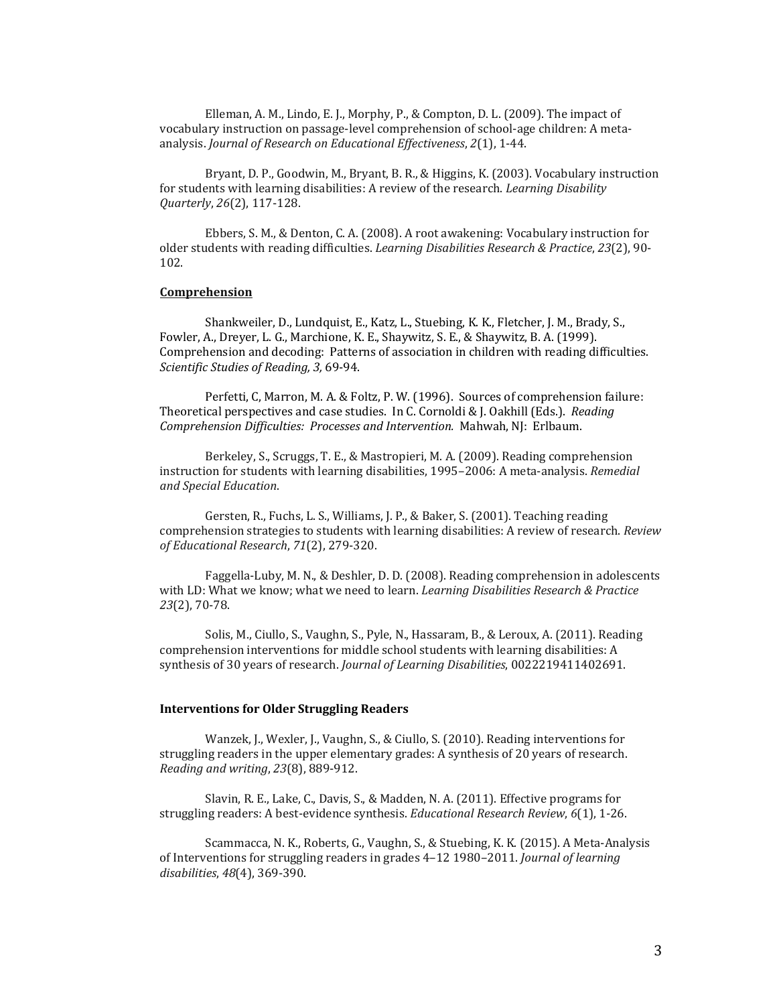Elleman, A. M., Lindo, E. J., Morphy, P., & Compton, D. L. (2009). The impact of vocabulary instruction on passage-level comprehension of school-age children: A metaanalysis. *Journal of Research on Educational Effectiveness*, *2*(1), 1-44.

Bryant, D. P., Goodwin, M., Bryant, B. R., & Higgins, K. (2003). Vocabulary instruction for students with learning disabilities: A review of the research. *Learning Disability Quarterly*, *26*(2), 117-128.

Ebbers, S. M., & Denton, C. A. (2008). A root awakening: Vocabulary instruction for older students with reading difficulties. *Learning Disabilities Research & Practice*, *23*(2), 90- 102.

### **Comprehension**

Shankweiler, D., Lundquist, E., Katz, L., Stuebing, K. K., Fletcher, J. M., Brady, S., Fowler, A., Dreyer, L. G., Marchione, K. E., Shaywitz, S. E., & Shaywitz, B. A. (1999). Comprehension and decoding: Patterns of association in children with reading difficulties. *Scientific Studies of Reading, 3,* 69-94.

Perfetti, C, Marron, M. A. & Foltz, P. W. (1996). Sources of comprehension failure: Theoretical perspectives and case studies. In C. Cornoldi & J. Oakhill (Eds.). *Reading Comprehension Difficulties: Processes and Intervention.* Mahwah, NJ: Erlbaum.

Berkeley, S., Scruggs, T. E., & Mastropieri, M. A. (2009). Reading comprehension instruction for students with learning disabilities, 1995–2006: A meta-analysis. *Remedial and Special Education*.

Gersten, R., Fuchs, L. S., Williams, J. P., & Baker, S. (2001). Teaching reading comprehension strategies to students with learning disabilities: A review of research. *Review of Educational Research*, *71*(2), 279-320.

Faggella-Luby, M. N., & Deshler, D. D. (2008). Reading comprehension in adolescents with LD: What we know; what we need to learn. *Learning Disabilities Research & Practice 23*(2), 70-78.

Solis, M., Ciullo, S., Vaughn, S., Pyle, N., Hassaram, B., & Leroux, A. (2011). Reading comprehension interventions for middle school students with learning disabilities: A synthesis of 30 years of research. *Journal of Learning Disabilities*, 0022219411402691.

#### **Interventions for Older Struggling Readers**

Wanzek, J., Wexler, J., Vaughn, S., & Ciullo, S. (2010). Reading interventions for struggling readers in the upper elementary grades: A synthesis of 20 years of research. *Reading and writing*, *23*(8), 889-912.

Slavin, R. E., Lake, C., Davis, S., & Madden, N. A. (2011). Effective programs for struggling readers: A best-evidence synthesis. *Educational Research Review*, *6*(1), 1-26.

Scammacca, N. K., Roberts, G., Vaughn, S., & Stuebing, K. K. (2015). A Meta-Analysis of Interventions for struggling readers in grades 4–12 1980–2011. *Journal of learning disabilities*, *48*(4), 369-390.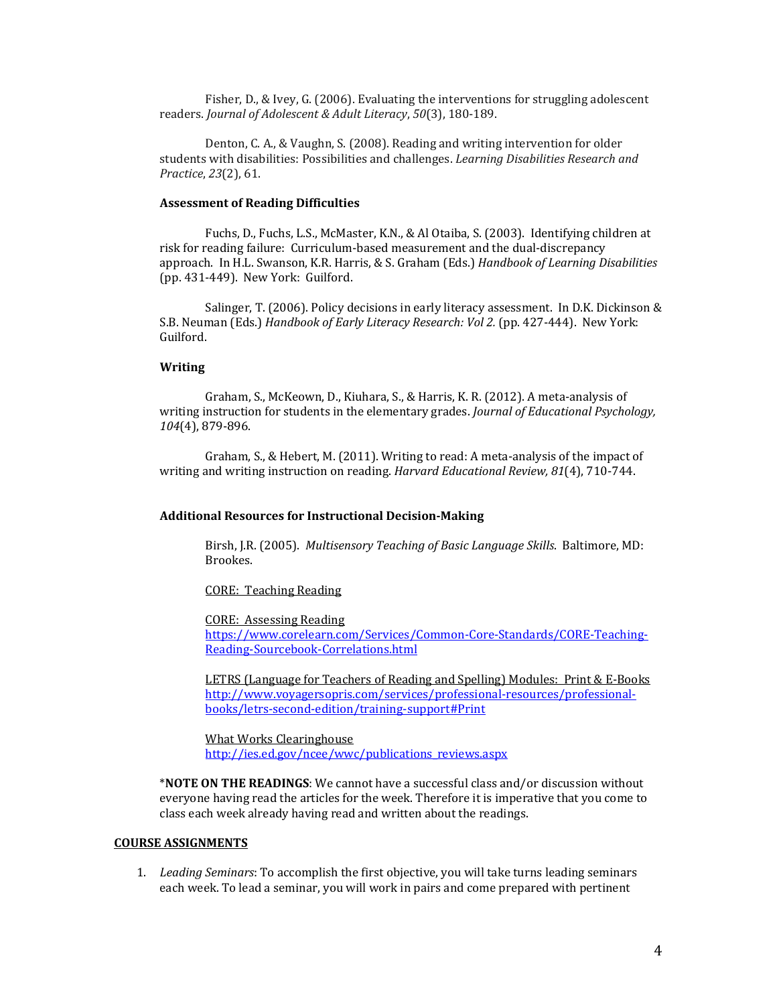Fisher, D., & Ivey, G. (2006). Evaluating the interventions for struggling adolescent readers. *Journal of Adolescent & Adult Literacy*, *50*(3), 180-189.

Denton, C. A., & Vaughn, S. (2008). Reading and writing intervention for older students with disabilities: Possibilities and challenges. *Learning Disabilities Research and Practice*, *23*(2), 61.

### **Assessment of Reading Difficulties**

Fuchs, D., Fuchs, L.S., McMaster, K.N., & Al Otaiba, S. (2003). Identifying children at risk for reading failure: Curriculum-based measurement and the dual-discrepancy approach. In H.L. Swanson, K.R. Harris, & S. Graham (Eds.) *Handbook of Learning Disabilities* (pp. 431-449). New York: Guilford.

Salinger, T. (2006). Policy decisions in early literacy assessment. In D.K. Dickinson & S.B. Neuman (Eds.) *Handbook of Early Literacy Research: Vol 2.* (pp. 427-444). New York: Guilford.

### **Writing**

Graham, S., McKeown, D., Kiuhara, S., & Harris, K. R. (2012). A meta-analysis of writing instruction for students in the elementary grades. *Journal of Educational Psychology, 104*(4), 879-896.

Graham, S., & Hebert, M. (2011). Writing to read: A meta-analysis of the impact of writing and writing instruction on reading. *Harvard Educational Review, 81*(4), 710-744.

### **Additional Resources for Instructional Decision-Making**

Birsh, J.R. (2005). *Multisensory Teaching of Basic Language Skills*. Baltimore, MD: Brookes.

CORE: Teaching Reading

CORE: Assessing Reading

[https://www.corelearn.com/Services/Common-Core-Standards/CORE-Teaching-](https://www.corelearn.com/Services/Common-Core-Standards/CORE-Teaching-Reading-Sourcebook-Correlations.html)[Reading-Sourcebook-Correlations.html](https://www.corelearn.com/Services/Common-Core-Standards/CORE-Teaching-Reading-Sourcebook-Correlations.html)

LETRS (Language for Teachers of Reading and Spelling) Modules: Print & E-Books [http://www.voyagersopris.com/services/professional-resources/professional](http://www.voyagersopris.com/services/professional-resources/professional-books/letrs-second-edition/training-support#Print)[books/letrs-second-edition/training-support#Print](http://www.voyagersopris.com/services/professional-resources/professional-books/letrs-second-edition/training-support#Print)

What Works Clearinghouse [http://ies.ed.gov/ncee/wwc/publications\\_reviews.aspx](http://ies.ed.gov/ncee/wwc/publications_reviews.aspx)

\***NOTE ON THE READINGS**: We cannot have a successful class and/or discussion without everyone having read the articles for the week. Therefore it is imperative that you come to class each week already having read and written about the readings.

### **COURSE ASSIGNMENTS**

1. *Leading Seminars*: To accomplish the first objective, you will take turns leading seminars each week. To lead a seminar, you will work in pairs and come prepared with pertinent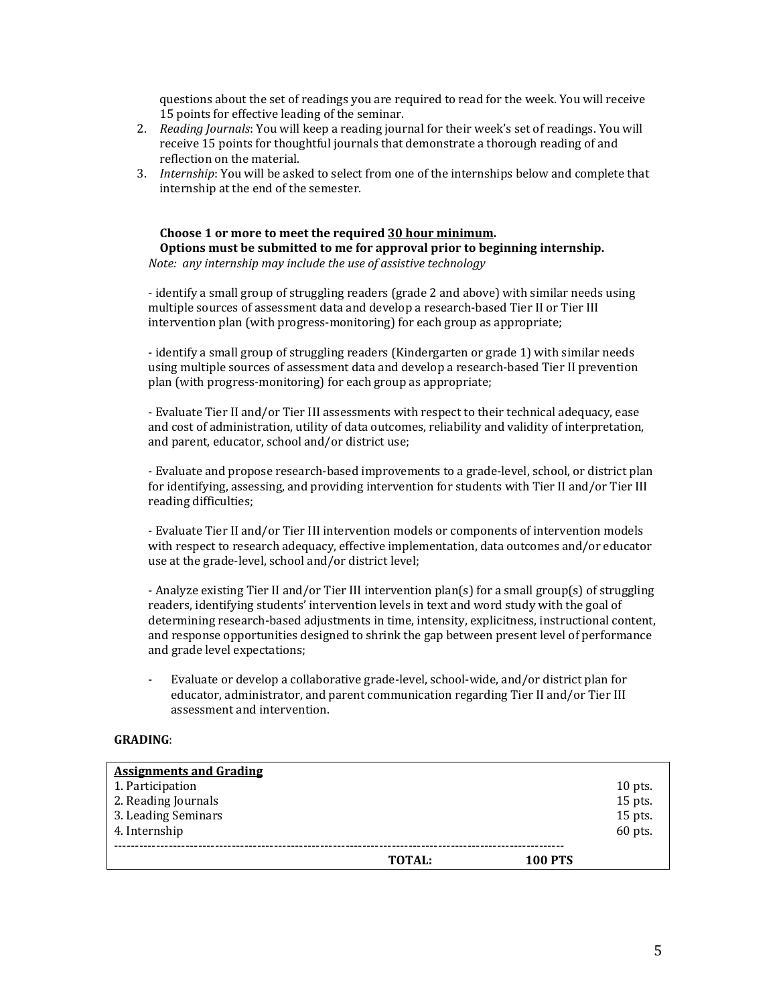questions about the set of readings you are required to read for the week. You will receive 15 points for effective leading of the seminar.

- 2. *Reading Journals*: You will keep a reading journal for their week's set of readings. You will receive 15 points for thoughtful journals that demonstrate a thorough reading of and reflection on the material.
- 3. *Internship*: You will be asked to select from one of the internships below and complete that internship at the end of the semester.

### **Choose 1 or more to meet the required 30 hour minimum. Options must be submitted to me for approval prior to beginning internship.**

*Note: any internship may include the use of assistive technology*

- identify a small group of struggling readers (grade 2 and above) with similar needs using multiple sources of assessment data and develop a research-based Tier II or Tier III intervention plan (with progress-monitoring) for each group as appropriate;

- identify a small group of struggling readers (Kindergarten or grade 1) with similar needs using multiple sources of assessment data and develop a research-based Tier II prevention plan (with progress-monitoring) for each group as appropriate;

- Evaluate Tier II and/or Tier III assessments with respect to their technical adequacy, ease and cost of administration, utility of data outcomes, reliability and validity of interpretation, and parent, educator, school and/or district use;

- Evaluate and propose research-based improvements to a grade-level, school, or district plan for identifying, assessing, and providing intervention for students with Tier II and/or Tier III reading difficulties;

- Evaluate Tier II and/or Tier III intervention models or components of intervention models with respect to research adequacy, effective implementation, data outcomes and/or educator use at the grade-level, school and/or district level;

- Analyze existing Tier II and/or Tier III intervention plan(s) for a small group(s) of struggling readers, identifying students' intervention levels in text and word study with the goal of determining research-based adjustments in time, intensity, explicitness, instructional content, and response opportunities designed to shrink the gap between present level of performance and grade level expectations;

- Evaluate or develop a collaborative grade-level, school-wide, and/or district plan for educator, administrator, and parent communication regarding Tier II and/or Tier III assessment and intervention.

### **GRADING**:

| <b>Assignments and Grading</b> |               |                |  |
|--------------------------------|---------------|----------------|--|
| 1. Participation               |               | $10$ pts.      |  |
| 2. Reading Journals            |               | 15 pts.        |  |
| 3. Leading Seminars            |               | 15 pts.        |  |
| 4. Internship                  |               | 60 pts.        |  |
|                                |               |                |  |
|                                | <b>TOTAL:</b> | <b>100 PTS</b> |  |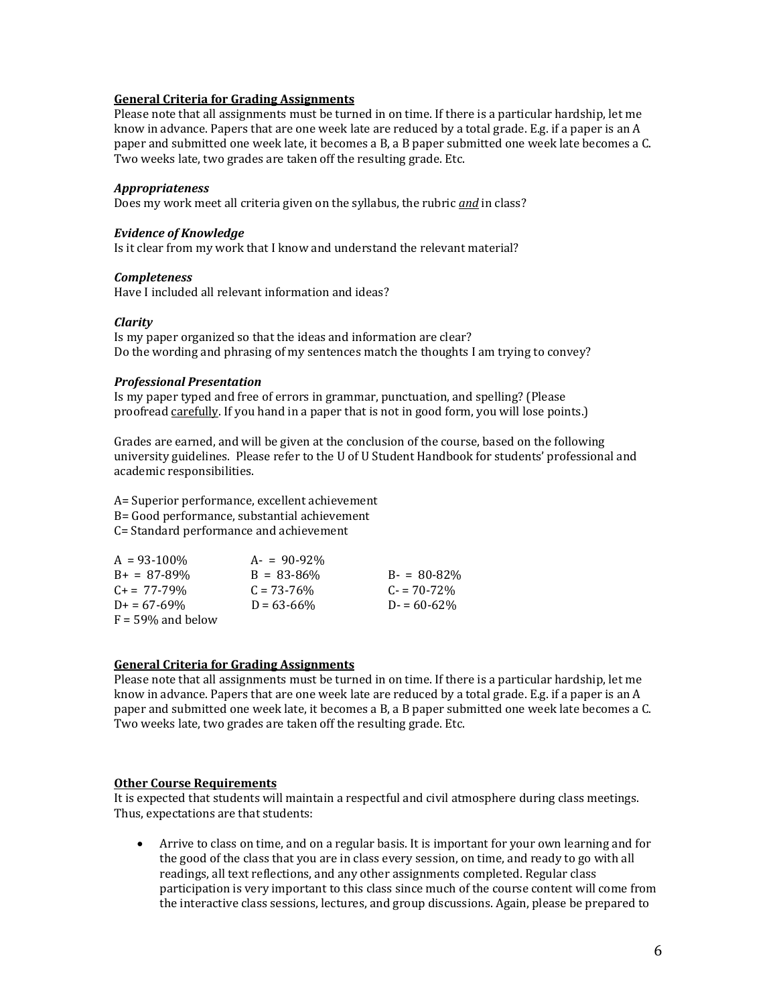### **General Criteria for Grading Assignments**

Please note that all assignments must be turned in on time. If there is a particular hardship, let me know in advance. Papers that are one week late are reduced by a total grade. E.g. if a paper is an A paper and submitted one week late, it becomes a B, a B paper submitted one week late becomes a C. Two weeks late, two grades are taken off the resulting grade. Etc.

### *Appropriateness*

Does my work meet all criteria given on the syllabus, the rubric *and* in class?

### *Evidence of Knowledge*

Is it clear from my work that I know and understand the relevant material?

### *Completeness*

Have I included all relevant information and ideas?

### *Clarity*

Is my paper organized so that the ideas and information are clear? Do the wording and phrasing of my sentences match the thoughts I am trying to convey?

### *Professional Presentation*

Is my paper typed and free of errors in grammar, punctuation, and spelling? (Please proofread carefully. If you hand in a paper that is not in good form, you will lose points.)

Grades are earned, and will be given at the conclusion of the course, based on the following university guidelines. Please refer to the U of U Student Handbook for students' professional and academic responsibilities.

A= Superior performance, excellent achievement B= Good performance, substantial achievement C= Standard performance and achievement

| $A = 93 - 100\%$         | $A = 90-92\%$   |                 |
|--------------------------|-----------------|-----------------|
| $B+ = 87-89%$            | $B = 83 - 86%$  | $B - 80 - 82\%$ |
| $C_{\rm{+}} = 77 - 79\%$ | $C = 73 - 76%$  | $C = 70 - 72\%$ |
| $D_{+} = 67 - 69\%$      | $D = 63 - 66\%$ | $D = 60 - 62\%$ |
| $F = 59\%$ and below     |                 |                 |

### **General Criteria for Grading Assignments**

Please note that all assignments must be turned in on time. If there is a particular hardship, let me know in advance. Papers that are one week late are reduced by a total grade. E.g. if a paper is an A paper and submitted one week late, it becomes a B, a B paper submitted one week late becomes a C. Two weeks late, two grades are taken off the resulting grade. Etc.

### **Other Course Requirements**

It is expected that students will maintain a respectful and civil atmosphere during class meetings. Thus, expectations are that students:

• Arrive to class on time, and on a regular basis. It is important for your own learning and for the good of the class that you are in class every session, on time, and ready to go with all readings, all text reflections, and any other assignments completed. Regular class participation is very important to this class since much of the course content will come from the interactive class sessions, lectures, and group discussions. Again, please be prepared to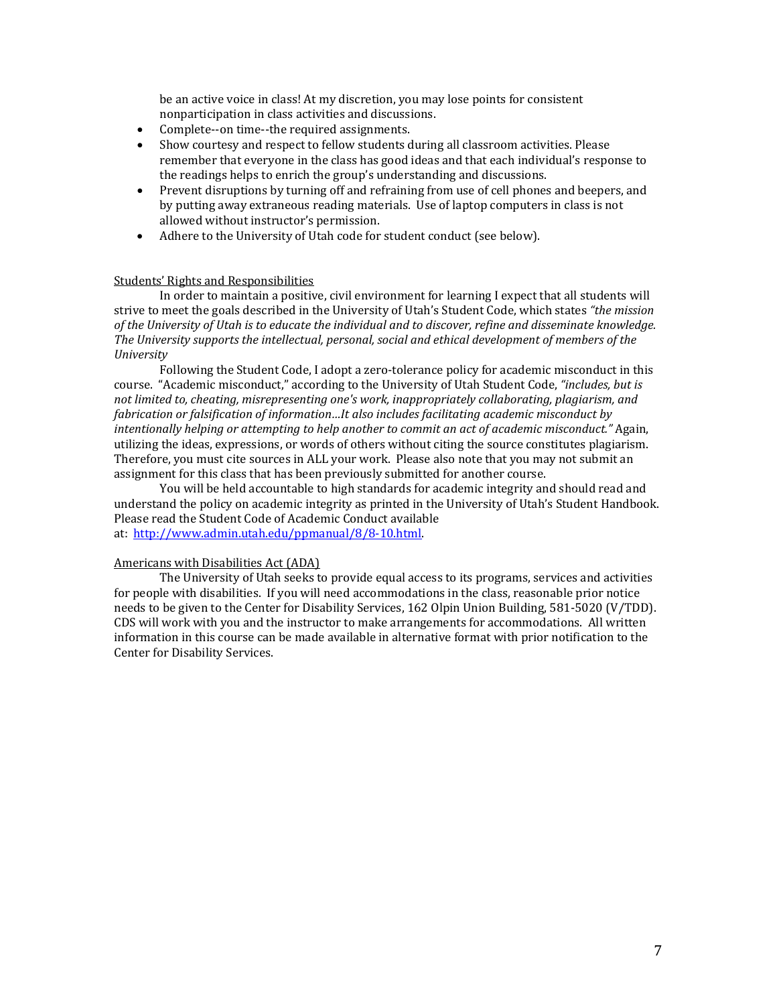be an active voice in class! At my discretion, you may lose points for consistent nonparticipation in class activities and discussions.

- Complete--on time--the required assignments.
- Show courtesy and respect to fellow students during all classroom activities. Please remember that everyone in the class has good ideas and that each individual's response to the readings helps to enrich the group's understanding and discussions.
- Prevent disruptions by turning off and refraining from use of cell phones and beepers, and by putting away extraneous reading materials. Use of laptop computers in class is not allowed without instructor's permission.
- Adhere to the University of Utah code for student conduct (see below).

### Students' Rights and Responsibilities

In order to maintain a positive, civil environment for learning I expect that all students will strive to meet the goals described in the University of Utah's Student Code, which states *"the mission of the University of Utah is to educate the individual and to discover, refine and disseminate knowledge. The University supports the intellectual, personal, social and ethical development of members of the University*

Following the Student Code, I adopt a zero-tolerance policy for academic misconduct in this course. "Academic misconduct," according to the University of Utah Student Code, *"includes, but is not limited to, cheating, misrepresenting one's work, inappropriately collaborating, plagiarism, and fabrication or falsification of information…It also includes facilitating academic misconduct by intentionally helping or attempting to help another to commit an act of academic misconduct."* Again, utilizing the ideas, expressions, or words of others without citing the source constitutes plagiarism. Therefore, you must cite sources in ALL your work. Please also note that you may not submit an assignment for this class that has been previously submitted for another course.

You will be held accountable to high standards for academic integrity and should read and understand the policy on academic integrity as printed in the University of Utah's Student Handbook. Please read the Student Code of Academic Conduct available at: [http://www.admin.utah.edu/ppmanual/8/8-10.html.](http://www.admin.utah.edu/ppmanual/8/8-10.html) 

### Americans with Disabilities Act (ADA)

The University of Utah seeks to provide equal access to its programs, services and activities for people with disabilities. If you will need accommodations in the class, reasonable prior notice needs to be given to the Center for Disability Services, 162 Olpin Union Building, 581-5020 (V/TDD). CDS will work with you and the instructor to make arrangements for accommodations. All written information in this course can be made available in alternative format with prior notification to the Center for Disability Services.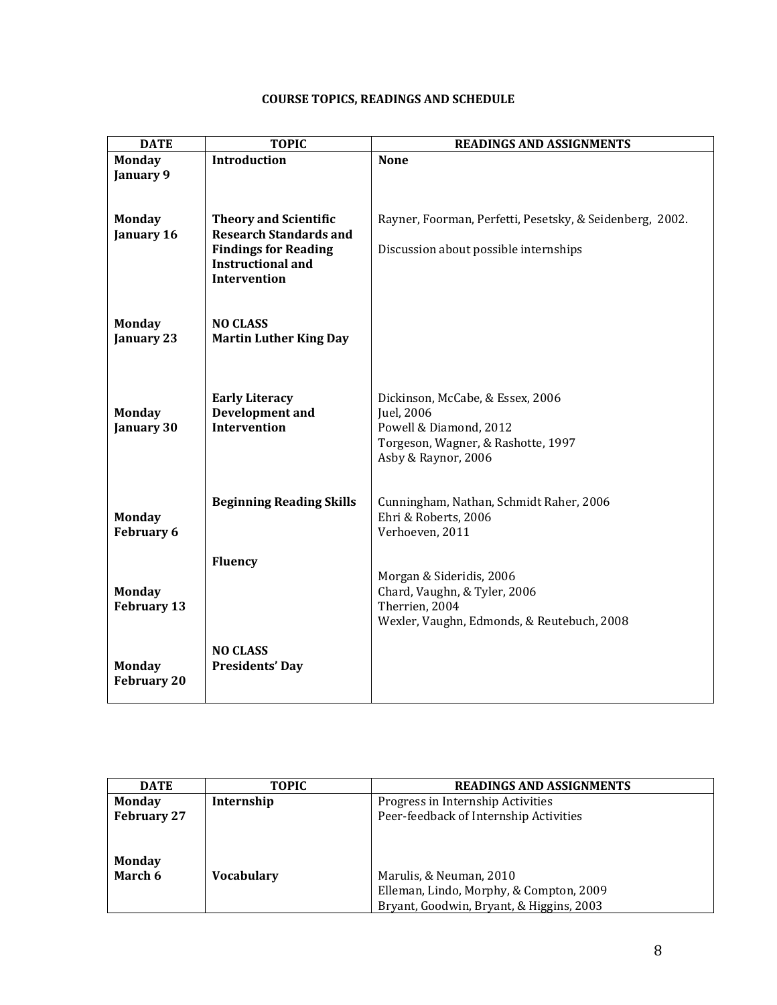# **COURSE TOPICS, READINGS AND SCHEDULE**

| <b>DATE</b>                        | <b>TOPIC</b>                                                  | <b>READINGS AND ASSIGNMENTS</b>                                 |
|------------------------------------|---------------------------------------------------------------|-----------------------------------------------------------------|
| <b>Monday</b>                      | <b>Introduction</b>                                           | <b>None</b>                                                     |
| January 9                          |                                                               |                                                                 |
|                                    |                                                               |                                                                 |
|                                    |                                                               |                                                                 |
| <b>Monday</b><br><b>January 16</b> | <b>Theory and Scientific</b><br><b>Research Standards and</b> | Rayner, Foorman, Perfetti, Pesetsky, & Seidenberg, 2002.        |
|                                    | <b>Findings for Reading</b>                                   | Discussion about possible internships                           |
|                                    | <b>Instructional and</b>                                      |                                                                 |
|                                    | <b>Intervention</b>                                           |                                                                 |
|                                    |                                                               |                                                                 |
|                                    | <b>NO CLASS</b>                                               |                                                                 |
| <b>Monday</b><br>January 23        | <b>Martin Luther King Day</b>                                 |                                                                 |
|                                    |                                                               |                                                                 |
|                                    |                                                               |                                                                 |
|                                    |                                                               |                                                                 |
|                                    | <b>Early Literacy</b>                                         | Dickinson, McCabe, & Essex, 2006                                |
| <b>Monday</b><br>January 30        | <b>Development</b> and<br><b>Intervention</b>                 | Juel, 2006<br>Powell & Diamond, 2012                            |
|                                    |                                                               | Torgeson, Wagner, & Rashotte, 1997                              |
|                                    |                                                               | Asby & Raynor, 2006                                             |
|                                    |                                                               |                                                                 |
|                                    |                                                               |                                                                 |
| <b>Monday</b>                      | <b>Beginning Reading Skills</b>                               | Cunningham, Nathan, Schmidt Raher, 2006<br>Ehri & Roberts, 2006 |
| February 6                         |                                                               | Verhoeven, 2011                                                 |
|                                    |                                                               |                                                                 |
|                                    | <b>Fluency</b>                                                |                                                                 |
|                                    |                                                               | Morgan & Sideridis, 2006                                        |
| <b>Monday</b>                      |                                                               | Chard, Vaughn, & Tyler, 2006<br>Therrien, 2004                  |
| <b>February 13</b>                 |                                                               | Wexler, Vaughn, Edmonds, & Reutebuch, 2008                      |
|                                    |                                                               |                                                                 |
|                                    | <b>NO CLASS</b>                                               |                                                                 |
| <b>Monday</b>                      | <b>Presidents' Day</b>                                        |                                                                 |
| <b>February 20</b>                 |                                                               |                                                                 |
|                                    |                                                               |                                                                 |

| <b>DATE</b>              | <b>TOPIC</b>      | <b>READINGS AND ASSIGNMENTS</b>                                    |
|--------------------------|-------------------|--------------------------------------------------------------------|
| <b>Monday</b>            | Internship        | Progress in Internship Activities                                  |
| <b>February 27</b>       |                   | Peer-feedback of Internship Activities                             |
| <b>Monday</b><br>March 6 | <b>Vocabulary</b> | Marulis, & Neuman, 2010<br>Elleman, Lindo, Morphy, & Compton, 2009 |
|                          |                   | Bryant, Goodwin, Bryant, & Higgins, 2003                           |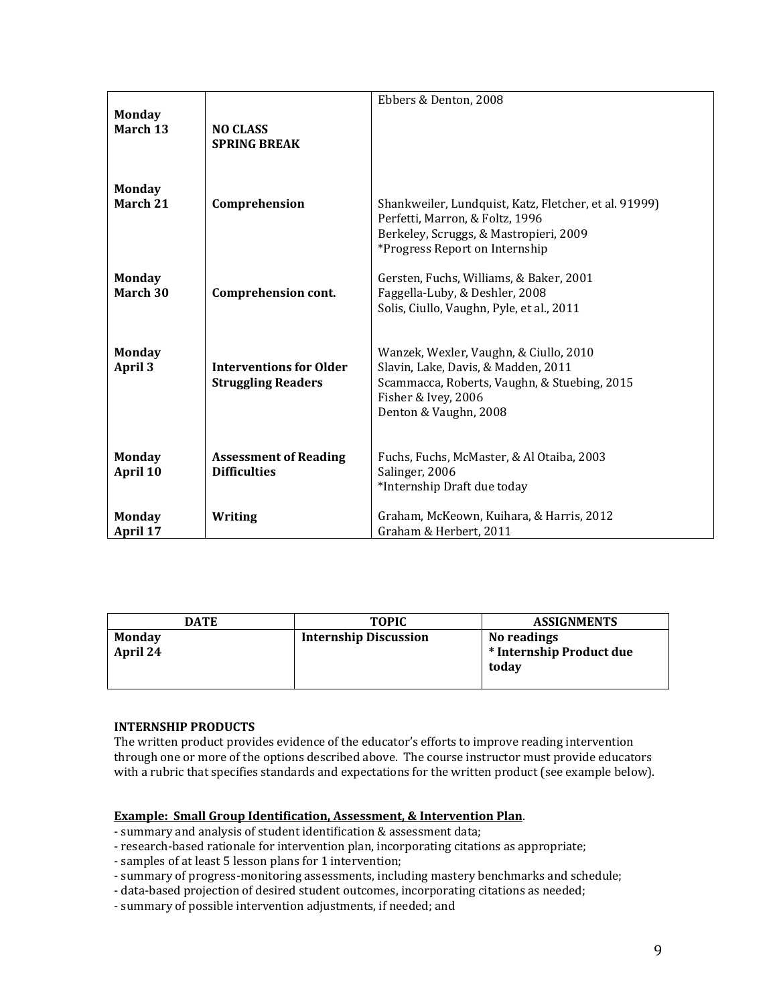| <b>Monday</b> |                                | Ebbers & Denton, 2008                                                    |
|---------------|--------------------------------|--------------------------------------------------------------------------|
| March 13      | <b>NO CLASS</b>                |                                                                          |
|               | <b>SPRING BREAK</b>            |                                                                          |
|               |                                |                                                                          |
| <b>Monday</b> |                                |                                                                          |
| March 21      | Comprehension                  | Shankweiler, Lundquist, Katz, Fletcher, et al. 91999)                    |
|               |                                | Perfetti, Marron, & Foltz, 1996                                          |
|               |                                | Berkeley, Scruggs, & Mastropieri, 2009<br>*Progress Report on Internship |
|               |                                |                                                                          |
| <b>Monday</b> |                                | Gersten, Fuchs, Williams, & Baker, 2001                                  |
| March 30      | Comprehension cont.            | Faggella-Luby, & Deshler, 2008                                           |
|               |                                | Solis, Ciullo, Vaughn, Pyle, et al., 2011                                |
|               |                                |                                                                          |
| <b>Monday</b> |                                | Wanzek, Wexler, Vaughn, & Ciullo, 2010                                   |
| April 3       | <b>Interventions for Older</b> | Slavin, Lake, Davis, & Madden, 2011                                      |
|               | <b>Struggling Readers</b>      | Scammacca, Roberts, Vaughn, & Stuebing, 2015                             |
|               |                                | Fisher & Ivey, 2006                                                      |
|               |                                | Denton & Vaughn, 2008                                                    |
|               |                                |                                                                          |
| <b>Monday</b> | <b>Assessment of Reading</b>   | Fuchs, Fuchs, McMaster, & Al Otaiba, 2003                                |
| April 10      | <b>Difficulties</b>            | Salinger, 2006                                                           |
|               |                                | *Internship Draft due today                                              |
| <b>Monday</b> | Writing                        | Graham, McKeown, Kuihara, & Harris, 2012                                 |
| April 17      |                                | Graham & Herbert, 2011                                                   |

| <b>DATE</b>        | <b>TOPIC</b>                 | <b>ASSIGNMENTS</b>                               |
|--------------------|------------------------------|--------------------------------------------------|
| Monday<br>April 24 | <b>Internship Discussion</b> | No readings<br>* Internship Product due<br>todav |

# **INTERNSHIP PRODUCTS**

The written product provides evidence of the educator's efforts to improve reading intervention through one or more of the options described above. The course instructor must provide educators with a rubric that specifies standards and expectations for the written product (see example below).

# **Example: Small Group Identification, Assessment, & Intervention Plan**.

- summary and analysis of student identification & assessment data;
- research-based rationale for intervention plan, incorporating citations as appropriate;
- samples of at least 5 lesson plans for 1 intervention;
- summary of progress-monitoring assessments, including mastery benchmarks and schedule;
- data-based projection of desired student outcomes, incorporating citations as needed;
- summary of possible intervention adjustments, if needed; and